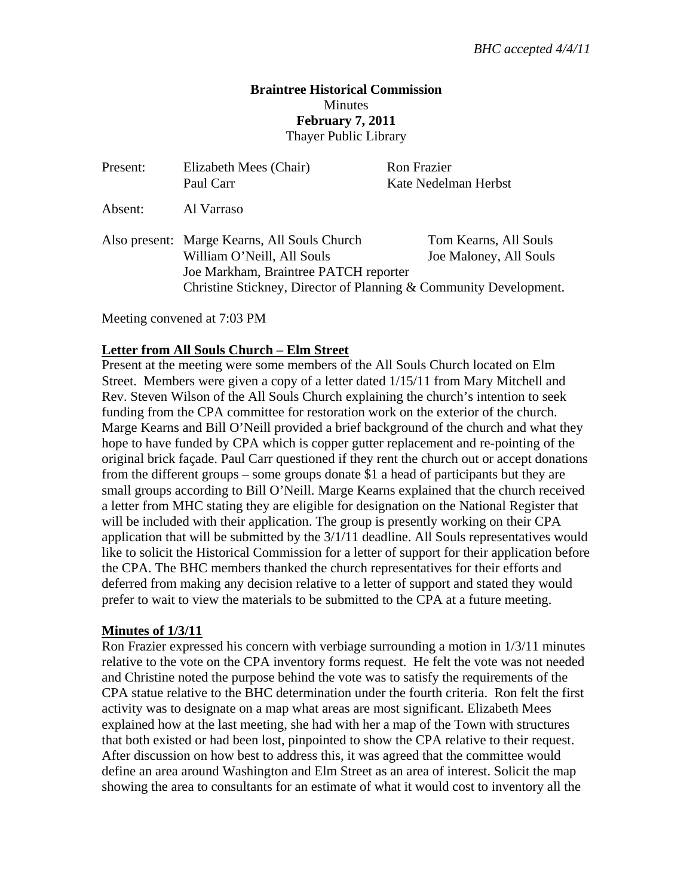### **Braintree Historical Commission Minutes February 7, 2011**  Thayer Public Library

| Present: | Elizabeth Mees (Chair)<br>Paul Carr                                                                                                                                                      | <b>Ron Frazier</b><br>Kate Nedelman Herbst      |
|----------|------------------------------------------------------------------------------------------------------------------------------------------------------------------------------------------|-------------------------------------------------|
| Absent:  | Al Varraso                                                                                                                                                                               |                                                 |
|          | Also present: Marge Kearns, All Souls Church<br>William O'Neill, All Souls<br>Joe Markham, Braintree PATCH reporter<br>Christine Stickney, Director of Planning & Community Development. | Tom Kearns, All Souls<br>Joe Maloney, All Souls |

Meeting convened at 7:03 PM

### **Letter from All Souls Church – Elm Street**

Present at the meeting were some members of the All Souls Church located on Elm Street. Members were given a copy of a letter dated 1/15/11 from Mary Mitchell and Rev. Steven Wilson of the All Souls Church explaining the church's intention to seek funding from the CPA committee for restoration work on the exterior of the church. Marge Kearns and Bill O'Neill provided a brief background of the church and what they hope to have funded by CPA which is copper gutter replacement and re-pointing of the original brick façade. Paul Carr questioned if they rent the church out or accept donations from the different groups – some groups donate \$1 a head of participants but they are small groups according to Bill O'Neill. Marge Kearns explained that the church received a letter from MHC stating they are eligible for designation on the National Register that will be included with their application. The group is presently working on their CPA application that will be submitted by the 3/1/11 deadline. All Souls representatives would like to solicit the Historical Commission for a letter of support for their application before the CPA. The BHC members thanked the church representatives for their efforts and deferred from making any decision relative to a letter of support and stated they would prefer to wait to view the materials to be submitted to the CPA at a future meeting.

## **Minutes of 1/3/11**

Ron Frazier expressed his concern with verbiage surrounding a motion in 1/3/11 minutes relative to the vote on the CPA inventory forms request. He felt the vote was not needed and Christine noted the purpose behind the vote was to satisfy the requirements of the CPA statue relative to the BHC determination under the fourth criteria. Ron felt the first activity was to designate on a map what areas are most significant. Elizabeth Mees explained how at the last meeting, she had with her a map of the Town with structures that both existed or had been lost, pinpointed to show the CPA relative to their request. After discussion on how best to address this, it was agreed that the committee would define an area around Washington and Elm Street as an area of interest. Solicit the map showing the area to consultants for an estimate of what it would cost to inventory all the